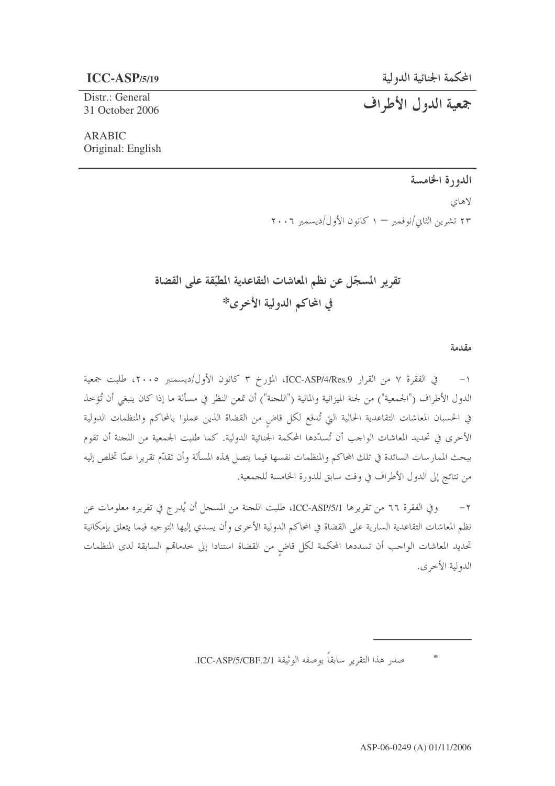جمعية الدول الأطراف

## $ICC-ASP/5/19$

Distr.: General 31 October 2006

## **ARABIC** Original: English

## الدورة الخامسة

لاهای

۲۳ تشرین الثانی/نوفمبر — ۱ کانون الأول/دیسمبر ۲۰۰۲

تقرير المسجّل عن نظم المعاشات التقاعدية المطبّقة على القضاة في المحاكم الدولية الأخرى\*

مقدمة

في الفقرة ٧ من القرار ICC-ASP/4/Res.9، المؤرخ ٣ كانون الأول/ديسمنبر ٢٠٠٥، طلبت جمعية  $-1$ الدول الأطراف ("الجمعية") من لجنة الميزانية والمالية ("اللجنة") أن تمعن النظر في مسألة ما إذا كان ينبغي أن تُؤخذ في الحسبان المعاشات التقاعدية الحالية التي تُدفع لكل قاضٍ من القضاة الذين عملوا بالمحاكم والمنظمات الدولية الأخرى في تحديد المعاشات الواحب أن تُسدَّدها المحكمة الجنائية الدولية. كما طلبت الجمعية من اللحنة أن تقوم ببحث الممارسات السائدة في تلك المحاكم والمنظمات نفسها فيما يتصل بمذه المسألة وأن تقدّم تقريرا عمّا تخلص إليه من نتائج إلى الدول الأطراف في وقت سابق للدورة الخامسة للجمعية.

وفي الفقرة ٦٦ من تقريرها ICC-ASP/5/1، طلبت اللجنة من المسحل أن يُدرج في تقريره معلومات عن  $-\tau$ نظم المعاشات التقاعدية السارية على القضاة في المحاكم الدولية الأخرى وأن يسدي إليها التوجيه فيما يتعلق بإمكانية تحديد المعاشات الواحب أن تسددها المحكمة لكل قاض من القضاة استنادا إلى خدماتمم السابقة لدى المنظمات الدولية الأخرى.

> $*$ صدر هذا التقرير سابقاً بوصفه الوثيقة ICC-ASP/5/CBF.2/1.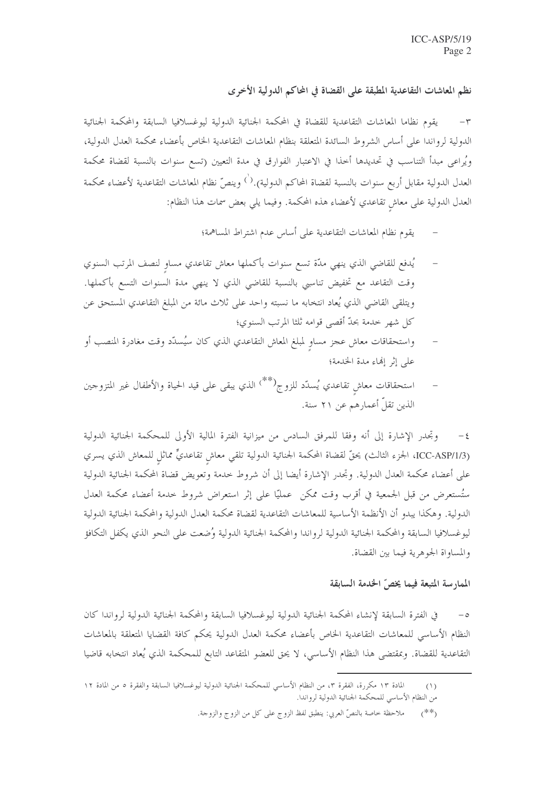نظم المعاشات التقاعدية المطبقة على القضاة في المحاكم الدولية الأخرى

يقوم نظاما المعاشات التقاعدية للقضاة في المحكمة الجنائية الدولية ليوغسلافيا السابقة والمحكمة الجنائية  $-\tau$ الدولية لرواندا على أساس الشروط السائدة المتعلقة بنظام المعاشات التقاعدية الخاص بأعضاء محكمة العدل الدولية، ويُراعى مبدأ التناسب في تحديدها أخذا في الاعتبار الفوارق في مدة التعيين (تسع سنوات بالنسبة لقضاة محكمة العدل الدولية مقابل أربع سنوات بالنسبة لقضاة المحاكم الدولية). $\dot{\phantom{a}}^{\phantom{a}\dot{\phantom{}}}_{\phantom{a}\dot{\phantom{}}}\,$ وينصّ نظام المعاشات التقاعدية لأعضاء محكمة العدل الدولية على معاش تقاعدي لأعضاء هذه المحكمة. وفيما يلي بعض سمات هذا النظام:

- يقوم نظام المعاشات التقاعدية على أساس عدم اشتراط المساهمة؛
- يُدفع للقاضي الذي ينهي مدّة تسع سنوات بأكملها معاش تقاعدي مساو لنصف المرتب السنوي وقت التقاعد مع تخفيض تناسبي بالنسبة للقاضي الذي لا ينهي مدة السنوات التسع بأكملها. ويتلقى القاضي الذي يُعاد انتخابه ما نسبته واحد على ثلاث مائة من المبلغ التقاعدي المستحق عن كل شهر حدمة بحدّ أقصى قوامه ثلثا المرتب السنوي؛
- واستحقاقات معاش عجز مساو لمبلغ المعاش التقاعدي الذي كان سيُسدِّد وقت مغادرة المنصب أو على إثر إنهاء مدة الخدمة؛
- استحقاقات معاشٍ تقاعدي يُسدّد للزوج<sup>(\*\*)</sup> الذي يبقى على قيد الحياة والأطفال غير المتزوجين الذين تقلَّ أعمارهم عن ٢١ سنة.

٤– وتحدر الإشارة إلى أنه وفقا للمرفق السادس من ميزانية الفترة المالية الأولى للمحكمة الجنائية الدولية (ICC-ASP/1/3، الجزء الثالث) يحقُّ لقضاة المحكمة الجنائية الدولية تلقى معاش تقاعديٌّ مماثل للمعاش الذي يسري على أعضاء محكمة العدل الدولية. وتجدر الإشارة أيضا إلى أن شروط حدمة وتعويض قضاة المحكمة الجنائية الدولية ستُستعرض من قبل الجمعية في أقرب وقت ممكن عمليًّا على إثر استعراض شروط حدمة أعضاء محكمة العدل الدولية. وهكذا يبدو أن الأنظمة الأساسية للمعاشات التقاعدية لقضاة محكمة العدل الدولية والمحكمة الجنائية الدولية ليوغسلافيا السابقة والمحكمة الجنائية الدولية لرواندا والمحكمة الجنائية الدولية وُضعت على النحو الذي يكفل التكافؤ والمساواة الجوهرية فيما بين القضاة.

## الممارسة المتبعة فيما يخصّ الخدمة السابقة

في الفترة السابقة لإنشاء المحكمة الجنائية الدولية ليوغسلافيا السابقة والمحكمة الجنائية الدولية لرواندا كان النظام الأساسي للمعاشات التقاعدية الخاص بأعضاء محكمة العدل الدولية يحكم كافة القضايا المتعلقة بالمعاشات التقاعدية للقضاة. وبمقتضى هذا النظام الأساسي، لا يحق للعضو المتقاعد التابع للمحكمة الذي يُعاد انتخابه قاضيا

المادة ١٣ مكررة، الفقرة ٣، من النظام الأساسي للمحكمة الجنائية الدولية ليوغسلافيا السابقة والفقرة ٥ من المادة ١٢  $(1)$ من النظام الأساسي للمحكمة الجنائية الدولية لرواندا.

ملاحظة حاصة بالنصِّ العربي: ينطبق لفظ الزوج على كلِّ من الزوج والزوجة.  $($ \*\*)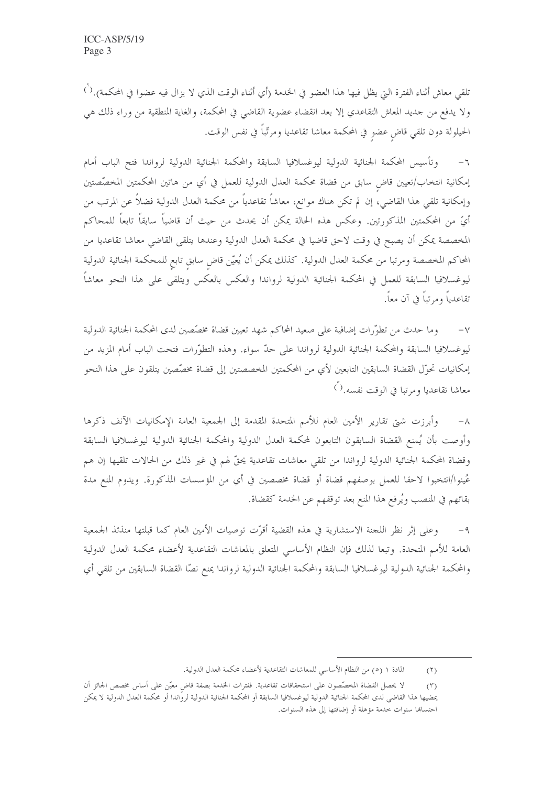تلقى معاش أثناء الفترة التي يظل فيها هذا العضو في الحدمة (أي أثناء الوقت الذي لا يزال فيه عضوا في المحكمة).<sup>( `)</sup> ولا يدفع من حديد المعاش التقاعدي إلا بعد انقضاء عضوية القاضي في المحكمة، والغاية المنطقية من وراء ذلك هي الحيلولة دون تلقي قاضٍ عضوٍ في المحكمة معاشا تقاعديا ومرتّباً في نفس الوقت.

وتأسيس المحكمة الجنائية الدولية ليوغسلافيا السابقة والمحكمة الجنائية الدولية لرواندا فتح الباب أمام  $-7$ إمكانية انتخاب/تعيين قاض سابق من قضاة محكمة العدل الدولية للعمل في أي من هاتين المحكمتين المخصّصتين وإمكانية تلقى هذا القاضى، إن لم تكن هناك موانع، معاشاً تقاعدياً من محكمة العدل الدولية فضلاً عن المرتب من أيِّ من المحكمتين المذكورتين. وعكس هذه الحالة يمكن أن يحدث من حيث أن قاضياً سابقاً تابعاً للمحاكم المخصصة يمكن أن يصبح في وقت لاحق قاضيا في محكمة العدل الدولية وعندها يتلقى القاضي معاشا تقاعديا من المحاكم المخصصة ومرتبا من محكمة العدل الدولية. كذلك يمكن أن يُعيّن قاض سابق تابع للمحكمة الجنائية الدولية ليوغسلافيا السابقة للعمل في المحكمة الجنائية الدولية لرواندا والعكس بالعكس ويتلقى على هذا النحو معاشاً تقاعدياً ومرتباً في آن معاً.

وما حدث من تطوَّرات إضافية على صعيد المحاكم شهد تعيين قضاة مخصَّصين لدى المحكمة الجنائية الدولية ليوغسلافيا السابقة والمحكمة الجنائية الدولية لرواندا على حدّ سواء. وهذه التطوّرات فتحت الباب أمام المزيد من إمكانيات تحوّل القضاة السابقين التابعين لأي من المحكمتين المخصصتين إلى قضاة مخصّصين يتلقون على هذا النحو معاشا تقاعديا ومرتبا في الوقت نفسه. $\vec{\left(\right)}$ 

وأبرزت شتى تقارير الأمين العام للأمم المتحدة المقدمة إلى الجمعية العامة الإمكانيات الآنف ذكرها  $-\lambda$ وأوصت بأن يُمنع القضاة السابقون التابعون لمحكمة العدل الدولية والمحكمة الجنائية الدولية ليوغسلافيا السابقة وقضاة المحكمة الجنائية الدولية لرواندا من تلقى معاشات تقاعدية يحقُّ لهم في غير ذلك من الحالات تلقيها إن هم عُينوا/انتخبوا لاحقا للعمل بوصفهم قضاة أو قضاة مخصصين في أي من المؤسسات المذكورة. ويدوم المنع مدة بقائهم في المنصب ويُرفع هذا المنع بعد توقفهم عن الخدمة كقضاة.

وعلى إثر نظر اللجنة الاستشارية في هذه القضية أقرّت توصيات الأمين العام كما قبلتها منذئذ الجمعية  $-9$ العامة للأمم المتحدة. وتبعا لذلك فإن النظام الأساسي المتعلق بالمعاشات التقاعدية لأعضاء محكمة العدل الدولية والمحكمة الجنائية الدولية ليوغسلافيا السابقة والمحكمة الجنائية الدولية لرواندا يمنع نصّا القضاة السابقين من تلقى أي

المادة ١ (٥) من النظام الأساسي للمعاشات التقاعدية لأعضاء محكمة العدل الدولية.  $(1)$ 

لا يحصل القضاة المخصِّصون على استحقاقات تقاعدية. ففترات الخدمة بصفة قاض معيَّن على أساس مخصص الجائز أن  $(5)$ يمضيها هذا القاضي لدى المحكمة الجنائية الدولية ليوغسلافيا السابقة أو المحكمة الجنائية الدولية لروًاندا أو محكمة العدل الدولية لا يمكن احتسابها سنوات حدمة مؤهلة أو إضافتها إلى هذه السنوات.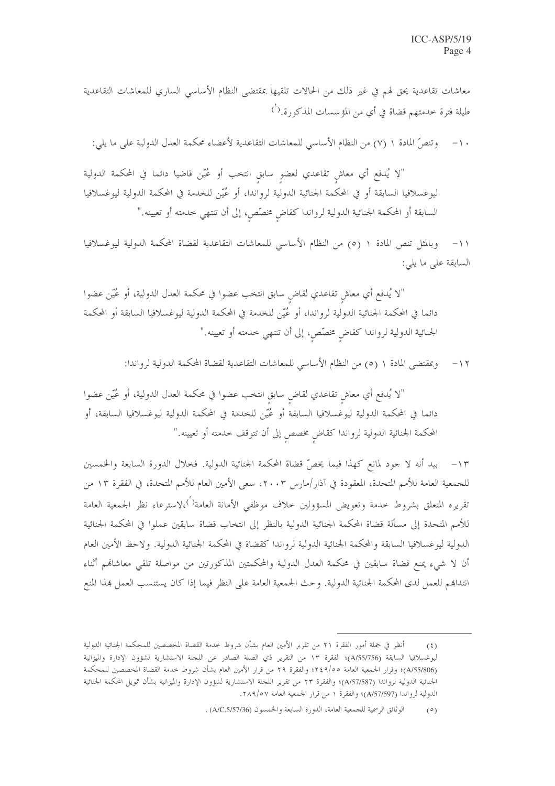معاشات تقاعدية يحق لهم في غير ذلك من الحالات تلقيها بمقتضى النظام الأساسى الساري للمعاشات التقاعدية طيلة فترة خدمتهم قضاة في أي من المؤسسات المذكورة.<sup>(`)</sup>

١٠– وتنصَّ المادة ١ (٧) من النظام الأساسي للمعاشات التقاعدية لأعضاء محكمة العدل الدولية على ما يلي:

"لا يُدفع أي معاشٍ تقاعدي لعضوٍ سابقٍ انتخب أو عُيّن قاضيا دائما في المحكمة الدولية ليوغسلافيا السابقة أو في المحكمة الجنائية الدولية لرواندا، أو عُيّن للخدمة في المحكمة الدولية ليوغسلافيا السابقة أو المحكمة الجنائية الدولية لرواندا كقاضٍ مخصّصٍ، إلى أن تنتهي خدمته أو تعيينه."

وبالمثل تنص المادة ١ (٥) من النظام الأساسي للمعاشات التقاعدية لقضاة المحكمة الدولية ليوغسلافيا  $-11$ السابقة على ما يلي:

"لا يُدفع أي معاشٍ تقاعدي لقاضٍ سابق انتخب عضوا في محكمة العدل الدولية، أو عُيّن عضوا دائما في المحكمة الجنائية الدولية لرواندا، أو عُيّن للخدمة في المحكمة الدولية ليوغسلافيا السابقة أو المحكمة الجنائية الدولية لرواندا كقاضٍ مخصَّصٍ، إلى أن تنتهي خدمته أو تعيينه."

> وبمقتضى المادة ١ (٥) من النظام الأساسي للمعاشات التقاعدية لقضاة المحكمة الدولية لرواندا:  $-11$

"لا يُدفع أي معاشٍ تقاعدي لقاضٍ سابقٍ انتخب عضوا في محكمة العدل الدولية، أو عُيّن عضوا دائما في المحكمة الدولية ليوغسلافيا السابقة أو عُيّن للخدمة في المحكمة الدولية ليوغسلافيا السابقة، أو المحكمة الجنائية الدولية لرواندا كقاض مخصص إلى أن تتوقف خدمته أو تعيينه."

١٣- بيد أنه لا جود لمانع كهذا فيما يخصُّ قضاة المحكمة الجنائية الدولية. فخلال الدورة السابعة والخمسين للجمعية العامة للأمم المتحدة، المعقودة في آذار/مارس ٢٠٠٣، سعى الأمين العام للأمم المتحدة، في الفقرة ١٣ من تقريره المتعلق بشروط حدمة وتعويض المسؤولين حلاف موظفي الأمانة العامة<sup>(°</sup>)،لاسترعاء نظر الجمعية العامة للأمم المتحدة إلى مسألة قضاة المحكمة الجنائية الدولية بالنظر إلى انتخاب قضاة سابقين عملوا في المحكمة الجنائية الدولية ليوغسلافيا السابقة والمحكمة الجنائية الدولية لرواندا كقضاة في المحكمة الجنائية الدولية. ولاحظ الأمين العام أن لا شيء يمنع قضاة سابقين في محكمة العدل الدولية والمحكمتين المذكورتين من مواصلة تلقى معاشاقم أثناء انتداهم للعمل لدى المحكمة الجنائية الدولية. وحث الجمعية العامة على النظر فيما إذا كان يستنسب العمل هذا المنع

أنظر في جملة أمور الفقرة ٢١ من تقرير الأمين العام بشأن شروط حدمة القضاة المخصصين للمحكمة الجنائية الدولية  $(5)$ ليوغسلافيا السابقة (A/55/756)؛ الفقرة ١٣ من التقرير ذي الصلة الصادر عن اللجنة الاستشارية لشؤون الإدارة والميزانية (A/55/806)؛ وقرار الجمعية العامة ٩/٥٩؛ والفقرة ٢٩ من قرار الأمين العام بشأن شروط حدمة القضاة المخصصين للمحكمة الجنائية الدولية لرواندا (A/57/587)؛ والفقرة ٢٣ من تقرير اللحنة الاستشارية لشؤون الإدارة والميزانية بشأن تمويل المحكمة الجنائية الدولية لرواندا (A/57/597)؛ والفقرة ١ من قرار الجمعية العامة ٢٨٩/٥٧.

الوثائق الرسمية للجمعية العامة، الدورة السابعة والخمسون (A/C.5/57/36) .  $(0)$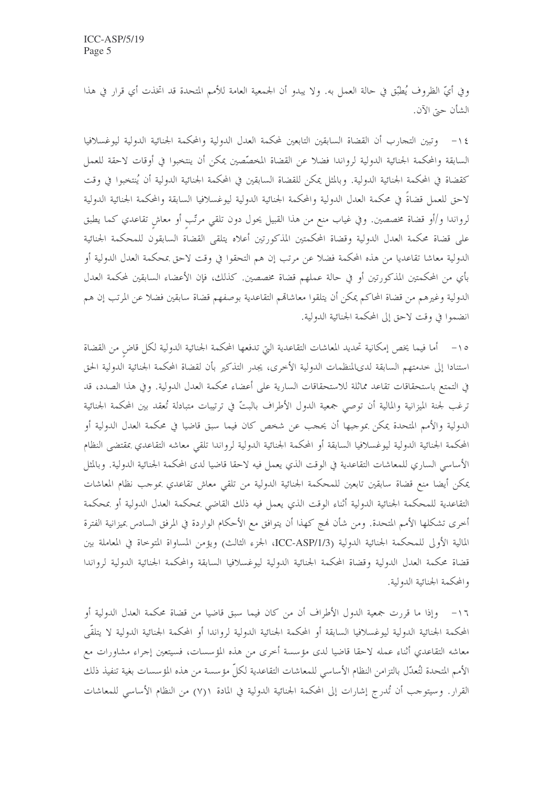وفي أيِّ الظروف يُطبِّق في حالة العمل به. ولا يبدو أن الجمعية العامة للأمم المتحدة قد اتخذت أي قرار في هذا الشأن حتى الآن.

١٤ – وتبين التجارب أن القضاة السابقين التابعين لمحكمة العدل الدولية والمحكمة الجنائية الدولية ليوغسلافيا السابقة والمحكمة الجنائية الدولية لرواندا فضلا عن القضاة المخصِّصين يمكن أن ينتخبوا في أوقات لاحقة للعمل كقضاة في المحكمة الجنائية الدولية. وبالمثل يمكن للقضاة السابقين في المحكمة الجنائية الدولية أن يُنتخبوا في وقت لاحق للعمل قضاةً في محكمة العدل الدولية والمحكمة الجنائية الدولية ليوغسلافيا السابقة والمحكمة الجنائية الدولية لرواندا و/أو قضاة مخصصين. وفي غياب منع من هذا القبيل يحول دون تلقى مرتّب أو معاش تقاعدي كما يطبق على قضاة محكمة العدل الدولية وقضاة المحكمتين المذكورتين أعلاه يتلقى القضاة السابقون للمحكمة الجنائية الدولية معاشا تقاعديا من هذه المحكمة فضلاً عن مرتب إن هم التحقوا في وقت لاحق بمحكمة العدل الدولية أو بأي من المحكمتين المذكورتين أو في حالة عملهم قضاة مخصصين. كذلك، فإن الأعضاء السابقين لمحكمة العدل الدولية وغيرهم من قضاة المحاكم يمكن أن يتلقوا معاشاقم التقاعدية بوصفهم قضاة سابقين فضلا عن المرتب إن هم انضموا في وقت لاحق إلى المحكمة الجنائية الدولية.

٥١– أما فيما يخص إمكانية تحديد المعاشات التقاعدية التي تدفعها المحكمة الجنائية الدولية لكل قاض من القضاة استنادا إلى خدمتهم السابقة لدىالمنظمات الدولية الأخرى، يجدر التذكير بأن لقضاة المحكمة الجنائية الدولية الحق في التمتع باستحقاقات تقاعد مماثلة للاستحقاقات السارية على أعضاء محكمة العدل الدولية. وفي هذا الصدد، قد ترغب لجنة الميزانية والمالية أن توصى جمعية الدول الأطراف بالبتّ في ترتيبات متبادلة تُعقد بين المحكمة الجنائية الدولية والأمم المتحدة يمكن بموجبها أن يحجب عن شخص كان فيما سبق قاضيا في محكمة العدل الدولية أو المحكمة الجنائية الدولية ليوغسلافيا السابقة أو المحكمة الجنائية الدولية لرواندا تلقى معاشه التقاعدي بمقتضى النظام الأساسي الساري للمعاشات التقاعدية في الوقت الذي يعمل فيه لاحقا قاضيا لدى المحكمة الجنائية الدولية. وبالمثل يمكن أيضا منع قضاة سابقين تابعين للمحكمة الجنائية الدولية من تلقى معاش تقاعدي بموجب نظام المعاشات التقاعدية للمحكمة الجنائية الدولية أثناء الوقت الذي يعمل فيه ذلك القاضي بمحكمة العدل الدولية أو بمحكمة أخرى تشكلها الأمم المتحدة. ومن شأن فمج كهذا أن يتوافق مع الأحكام الواردة في المرفق السادس بميزانية الفترة المالية الأولى للمحكمة الجنائية الدولية (ICC-ASP/1/3، الجزء الثالث) ويؤمن المساواة المتوحاة في المعاملة بين قضاة محكمة العدل الدولية وقضاة المحكمة الجنائية الدولية ليوغسلافيا السابقة والمحكمة الجنائية الدولية لرواندا والمحكمة الجنائية الدولية.

١٦– وإذا ما قررت جمعية الدول الأطراف أن من كان فيما سبق قاضيا من قضاة محكمة العدل الدولية أو المحكمة الجنائية الدولية ليوغسلافيا السابقة أو المحكمة الجنائية الدولية لرواندا أو المحكمة الجنائية الدولية لا يتلقّى معاشه التقاعدي أثناء عمله لاحقا قاضيا لدى مؤسسة أحرى من هذه المؤسسات، فسيتعين إجراء مشاورات مع الأمم المتحدة لتُعدّل بالتزامن النظام الأساسي للمعاشات التقاعدية لكلّ مؤسسة من هذه المؤسسات بغية تنفيذ ذلك القرار. وسيتوجب أن تُدرج إشارات إلى المحكمة الجنائية الدولية في المادة ٧(٧) من النظام الأساسي للمعاشات